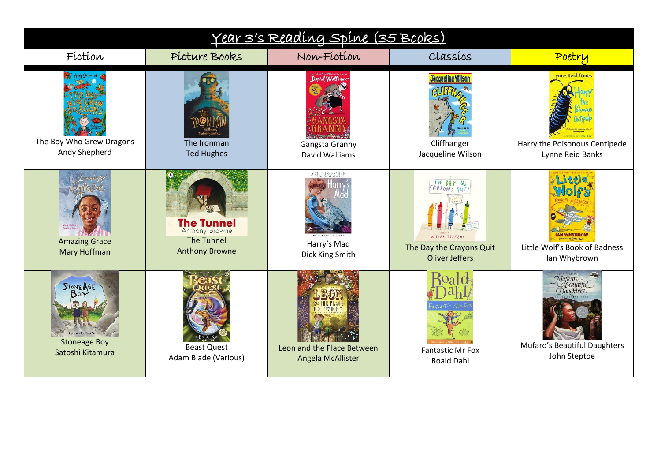| <u>Year 3's Reading Spine (35 Books)</u>                                |                                                                                   |                                                    |                                                                            |                                                                                    |  |  |
|-------------------------------------------------------------------------|-----------------------------------------------------------------------------------|----------------------------------------------------|----------------------------------------------------------------------------|------------------------------------------------------------------------------------|--|--|
| Fíctíon                                                                 | Picture Books                                                                     | <u>Non-Fíction</u>                                 | <u>Classics</u>                                                            | Poetry                                                                             |  |  |
| The Boy Who Grew Dragons<br>Andy Shepherd                               | The Ironman<br><b>Ted Hughes</b>                                                  | David Walliams<br>Gangsta Granny<br>David Walliams | <b>Jacqueline Wilson</b><br>Cliffhanger<br>Jacqueline Wilson               | Lynne Reid Banks<br>Harry the Poisonous Centipede<br>Lynne Reid Banks              |  |  |
| <b>Amazing Grace</b><br>Mary Hoffman                                    | <b>The Tunnel</b><br>Anthony Browne<br><b>The Tunnel</b><br><b>Anthony Browne</b> | DICK KING-SMITH<br>Harry's Mad<br>Dick King Smith  | <b>OLIVER SEFFERS</b><br>The Day the Crayons Quit<br><b>Oliver Jeffers</b> | Little Wolf's Book of Badness<br>Ian Whybrown                                      |  |  |
| STONE AGE<br>ATOSHI KITAMURA<br><b>Stoneage Boy</b><br>Satoshi Kitamura | <b>Beast Quest</b><br>Adam Blade (Various)                                        | Leon and the Place Between<br>Angela McAllister    | <b>Fantastic Mr Fox</b><br><b>Roald Dahl</b>                               | Mutaros<br>Beautiful<br>Daughters.<br>Mufaro's Beautiful Daughters<br>John Steptoe |  |  |